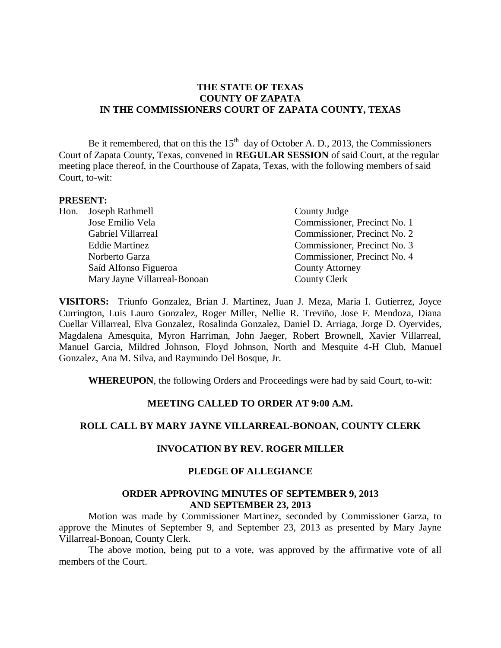### **THE STATE OF TEXAS COUNTY OF ZAPATA IN THE COMMISSIONERS COURT OF ZAPATA COUNTY, TEXAS**

Be it remembered, that on this the  $15<sup>th</sup>$  day of October A. D., 2013, the Commissioners Court of Zapata County, Texas, convened in **REGULAR SESSION** of said Court, at the regular meeting place thereof, in the Courthouse of Zapata, Texas, with the following members of said Court, to-wit:

#### **PRESENT:**

|  | Hon. Joseph Rathmell         | County Judge                 |
|--|------------------------------|------------------------------|
|  | Jose Emilio Vela             | Commissioner, Precinct No. 1 |
|  | Gabriel Villarreal           | Commissioner, Precinct No. 2 |
|  | <b>Eddie Martinez</b>        | Commissioner, Precinct No. 3 |
|  | Norberto Garza               | Commissioner, Precinct No. 4 |
|  | Saíd Alfonso Figueroa        | <b>County Attorney</b>       |
|  | Mary Jayne Villarreal-Bonoan | <b>County Clerk</b>          |

**VISITORS:** Triunfo Gonzalez, Brian J. Martinez, Juan J. Meza, Maria I. Gutierrez, Joyce Currington, Luis Lauro Gonzalez, Roger Miller, Nellie R. Treviño, Jose F. Mendoza, Diana Cuellar Villarreal, Elva Gonzalez, Rosalinda Gonzalez, Daniel D. Arriaga, Jorge D. Oyervides, Magdalena Amesquita, Myron Harriman, John Jaeger, Robert Brownell, Xavier Villarreal, Manuel Garcia, Mildred Johnson, Floyd Johnson, North and Mesquite 4-H Club, Manuel Gonzalez, Ana M. Silva, and Raymundo Del Bosque, Jr.

**WHEREUPON**, the following Orders and Proceedings were had by said Court, to-wit:

#### **MEETING CALLED TO ORDER AT 9:00 A.M.**

#### **ROLL CALL BY MARY JAYNE VILLARREAL-BONOAN, COUNTY CLERK**

## **INVOCATION BY REV. ROGER MILLER**

#### **PLEDGE OF ALLEGIANCE**

#### **ORDER APPROVING MINUTES OF SEPTEMBER 9, 2013 AND SEPTEMBER 23, 2013**

Motion was made by Commissioner Martinez, seconded by Commissioner Garza, to approve the Minutes of September 9, and September 23, 2013 as presented by Mary Jayne Villarreal-Bonoan, County Clerk.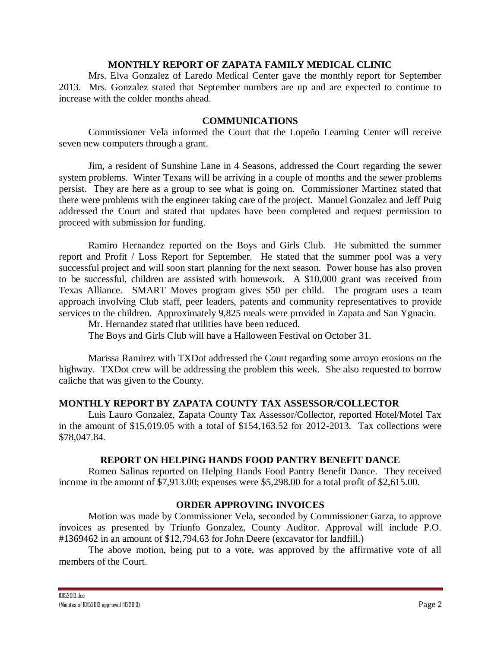### **MONTHLY REPORT OF ZAPATA FAMILY MEDICAL CLINIC**

Mrs. Elva Gonzalez of Laredo Medical Center gave the monthly report for September 2013. Mrs. Gonzalez stated that September numbers are up and are expected to continue to increase with the colder months ahead.

## **COMMUNICATIONS**

Commissioner Vela informed the Court that the Lopeño Learning Center will receive seven new computers through a grant.

Jim, a resident of Sunshine Lane in 4 Seasons, addressed the Court regarding the sewer system problems. Winter Texans will be arriving in a couple of months and the sewer problems persist. They are here as a group to see what is going on. Commissioner Martinez stated that there were problems with the engineer taking care of the project. Manuel Gonzalez and Jeff Puig addressed the Court and stated that updates have been completed and request permission to proceed with submission for funding.

Ramiro Hernandez reported on the Boys and Girls Club. He submitted the summer report and Profit / Loss Report for September. He stated that the summer pool was a very successful project and will soon start planning for the next season. Power house has also proven to be successful, children are assisted with homework. A \$10,000 grant was received from Texas Alliance. SMART Moves program gives \$50 per child. The program uses a team approach involving Club staff, peer leaders, patents and community representatives to provide services to the children. Approximately 9,825 meals were provided in Zapata and San Ygnacio.

Mr. Hernandez stated that utilities have been reduced.

The Boys and Girls Club will have a Halloween Festival on October 31.

Marissa Ramirez with TXDot addressed the Court regarding some arroyo erosions on the highway. TXDot crew will be addressing the problem this week. She also requested to borrow caliche that was given to the County.

## **MONTHLY REPORT BY ZAPATA COUNTY TAX ASSESSOR/COLLECTOR**

Luis Lauro Gonzalez, Zapata County Tax Assessor/Collector, reported Hotel/Motel Tax in the amount of \$15,019.05 with a total of \$154,163.52 for 2012-2013. Tax collections were \$78,047.84.

## **REPORT ON HELPING HANDS FOOD PANTRY BENEFIT DANCE**

Romeo Salinas reported on Helping Hands Food Pantry Benefit Dance. They received income in the amount of \$7,913.00; expenses were \$5,298.00 for a total profit of \$2,615.00.

## **ORDER APPROVING INVOICES**

Motion was made by Commissioner Vela, seconded by Commissioner Garza, to approve invoices as presented by Triunfo Gonzalez, County Auditor. Approval will include P.O. #1369462 in an amount of \$12,794.63 for John Deere (excavator for landfill.)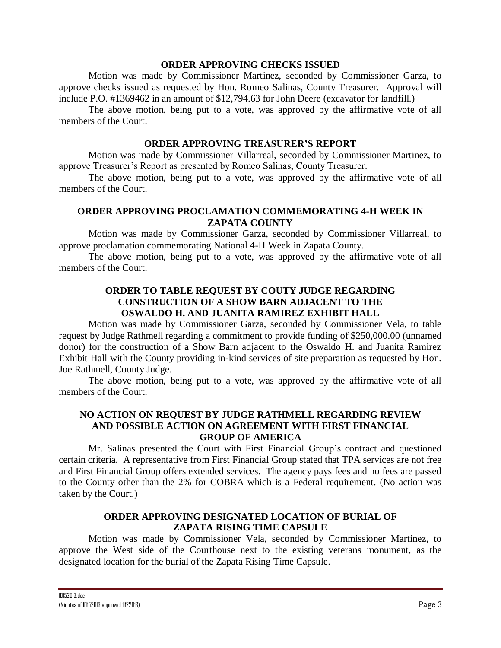### **ORDER APPROVING CHECKS ISSUED**

Motion was made by Commissioner Martinez, seconded by Commissioner Garza, to approve checks issued as requested by Hon. Romeo Salinas, County Treasurer. Approval will include P.O. #1369462 in an amount of \$12,794.63 for John Deere (excavator for landfill.)

The above motion, being put to a vote, was approved by the affirmative vote of all members of the Court.

### **ORDER APPROVING TREASURER'S REPORT**

Motion was made by Commissioner Villarreal, seconded by Commissioner Martinez, to approve Treasurer's Report as presented by Romeo Salinas, County Treasurer.

The above motion, being put to a vote, was approved by the affirmative vote of all members of the Court.

## **ORDER APPROVING PROCLAMATION COMMEMORATING 4-H WEEK IN ZAPATA COUNTY**

Motion was made by Commissioner Garza, seconded by Commissioner Villarreal, to approve proclamation commemorating National 4-H Week in Zapata County.

The above motion, being put to a vote, was approved by the affirmative vote of all members of the Court.

# **ORDER TO TABLE REQUEST BY COUTY JUDGE REGARDING CONSTRUCTION OF A SHOW BARN ADJACENT TO THE OSWALDO H. AND JUANITA RAMIREZ EXHIBIT HALL**

Motion was made by Commissioner Garza, seconded by Commissioner Vela, to table request by Judge Rathmell regarding a commitment to provide funding of \$250,000.00 (unnamed donor) for the construction of a Show Barn adjacent to the Oswaldo H. and Juanita Ramirez Exhibit Hall with the County providing in-kind services of site preparation as requested by Hon. Joe Rathmell, County Judge.

The above motion, being put to a vote, was approved by the affirmative vote of all members of the Court.

## **NO ACTION ON REQUEST BY JUDGE RATHMELL REGARDING REVIEW AND POSSIBLE ACTION ON AGREEMENT WITH FIRST FINANCIAL GROUP OF AMERICA**

Mr. Salinas presented the Court with First Financial Group's contract and questioned certain criteria. A representative from First Financial Group stated that TPA services are not free and First Financial Group offers extended services. The agency pays fees and no fees are passed to the County other than the 2% for COBRA which is a Federal requirement. (No action was taken by the Court.)

### **ORDER APPROVING DESIGNATED LOCATION OF BURIAL OF ZAPATA RISING TIME CAPSULE**

Motion was made by Commissioner Vela, seconded by Commissioner Martinez, to approve the West side of the Courthouse next to the existing veterans monument, as the designated location for the burial of the Zapata Rising Time Capsule.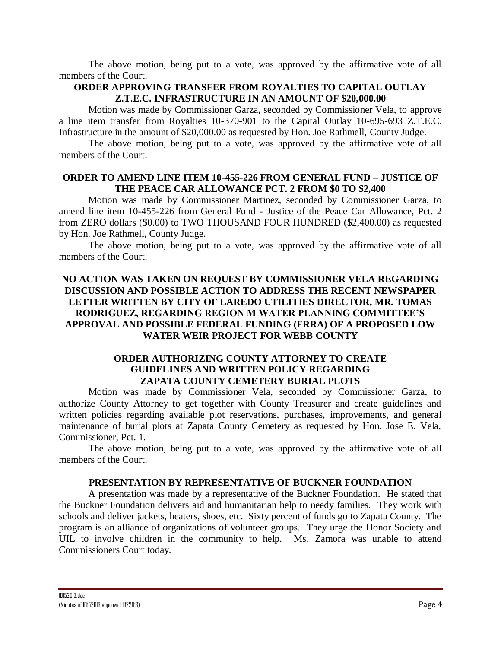The above motion, being put to a vote, was approved by the affirmative vote of all members of the Court.

## **ORDER APPROVING TRANSFER FROM ROYALTIES TO CAPITAL OUTLAY Z.T.E.C. INFRASTRUCTURE IN AN AMOUNT OF \$20,000.00**

Motion was made by Commissioner Garza, seconded by Commissioner Vela, to approve a line item transfer from Royalties 10-370-901 to the Capital Outlay 10-695-693 Z.T.E.C. Infrastructure in the amount of \$20,000.00 as requested by Hon. Joe Rathmell, County Judge.

The above motion, being put to a vote, was approved by the affirmative vote of all members of the Court.

## **ORDER TO AMEND LINE ITEM 10-455-226 FROM GENERAL FUND – JUSTICE OF THE PEACE CAR ALLOWANCE PCT. 2 FROM \$0 TO \$2,400**

Motion was made by Commissioner Martinez, seconded by Commissioner Garza, to amend line item 10-455-226 from General Fund - Justice of the Peace Car Allowance, Pct. 2 from ZERO dollars (\$0.00) to TWO THOUSAND FOUR HUNDRED (\$2,400.00) as requested by Hon. Joe Rathmell, County Judge.

The above motion, being put to a vote, was approved by the affirmative vote of all members of the Court.

# **NO ACTION WAS TAKEN ON REQUEST BY COMMISSIONER VELA REGARDING DISCUSSION AND POSSIBLE ACTION TO ADDRESS THE RECENT NEWSPAPER LETTER WRITTEN BY CITY OF LAREDO UTILITIES DIRECTOR, MR. TOMAS RODRIGUEZ, REGARDING REGION M WATER PLANNING COMMITTEE'S APPROVAL AND POSSIBLE FEDERAL FUNDING (FRRA) OF A PROPOSED LOW WATER WEIR PROJECT FOR WEBB COUNTY**

# **ORDER AUTHORIZING COUNTY ATTORNEY TO CREATE GUIDELINES AND WRITTEN POLICY REGARDING ZAPATA COUNTY CEMETERY BURIAL PLOTS**

Motion was made by Commissioner Vela, seconded by Commissioner Garza, to authorize County Attorney to get together with County Treasurer and create guidelines and written policies regarding available plot reservations, purchases, improvements, and general maintenance of burial plots at Zapata County Cemetery as requested by Hon. Jose E. Vela, Commissioner, Pct. 1.

The above motion, being put to a vote, was approved by the affirmative vote of all members of the Court.

## **PRESENTATION BY REPRESENTATIVE OF BUCKNER FOUNDATION**

A presentation was made by a representative of the Buckner Foundation. He stated that the Buckner Foundation delivers aid and humanitarian help to needy families. They work with schools and deliver jackets, heaters, shoes, etc. Sixty percent of funds go to Zapata County. The program is an alliance of organizations of volunteer groups. They urge the Honor Society and UIL to involve children in the community to help. Ms. Zamora was unable to attend Commissioners Court today.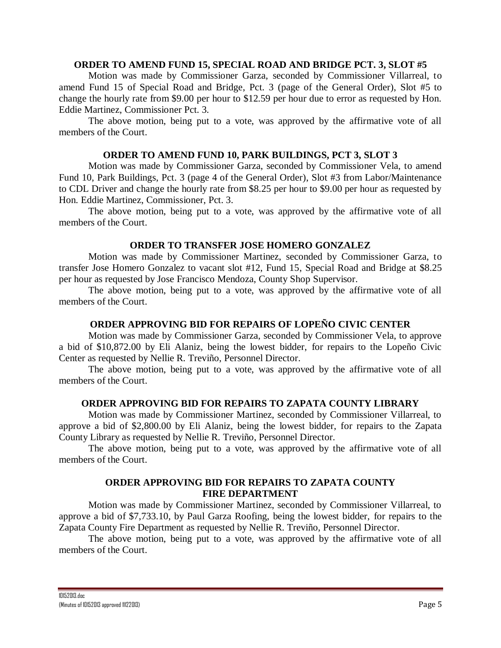#### **ORDER TO AMEND FUND 15, SPECIAL ROAD AND BRIDGE PCT. 3, SLOT #5**

Motion was made by Commissioner Garza, seconded by Commissioner Villarreal, to amend Fund 15 of Special Road and Bridge, Pct. 3 (page of the General Order), Slot #5 to change the hourly rate from \$9.00 per hour to \$12.59 per hour due to error as requested by Hon. Eddie Martinez, Commissioner Pct. 3.

The above motion, being put to a vote, was approved by the affirmative vote of all members of the Court.

## **ORDER TO AMEND FUND 10, PARK BUILDINGS, PCT 3, SLOT 3**

Motion was made by Commissioner Garza, seconded by Commissioner Vela, to amend Fund 10, Park Buildings, Pct. 3 (page 4 of the General Order), Slot #3 from Labor/Maintenance to CDL Driver and change the hourly rate from \$8.25 per hour to \$9.00 per hour as requested by Hon. Eddie Martinez, Commissioner, Pct. 3.

The above motion, being put to a vote, was approved by the affirmative vote of all members of the Court.

## **ORDER TO TRANSFER JOSE HOMERO GONZALEZ**

Motion was made by Commissioner Martinez, seconded by Commissioner Garza, to transfer Jose Homero Gonzalez to vacant slot #12, Fund 15, Special Road and Bridge at \$8.25 per hour as requested by Jose Francisco Mendoza, County Shop Supervisor.

The above motion, being put to a vote, was approved by the affirmative vote of all members of the Court.

## **ORDER APPROVING BID FOR REPAIRS OF LOPEÑO CIVIC CENTER**

Motion was made by Commissioner Garza, seconded by Commissioner Vela, to approve a bid of \$10,872.00 by Eli Alaniz, being the lowest bidder, for repairs to the Lopeño Civic Center as requested by Nellie R. Treviño, Personnel Director.

The above motion, being put to a vote, was approved by the affirmative vote of all members of the Court.

## **ORDER APPROVING BID FOR REPAIRS TO ZAPATA COUNTY LIBRARY**

Motion was made by Commissioner Martinez, seconded by Commissioner Villarreal, to approve a bid of \$2,800.00 by Eli Alaniz, being the lowest bidder, for repairs to the Zapata County Library as requested by Nellie R. Treviño, Personnel Director.

The above motion, being put to a vote, was approved by the affirmative vote of all members of the Court.

## **ORDER APPROVING BID FOR REPAIRS TO ZAPATA COUNTY FIRE DEPARTMENT**

Motion was made by Commissioner Martinez, seconded by Commissioner Villarreal, to approve a bid of \$7,733.10, by Paul Garza Roofing, being the lowest bidder, for repairs to the Zapata County Fire Department as requested by Nellie R. Treviño, Personnel Director.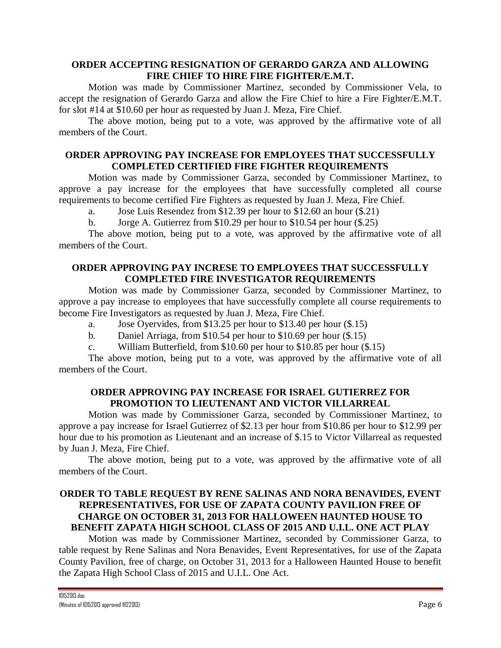## **ORDER ACCEPTING RESIGNATION OF GERARDO GARZA AND ALLOWING FIRE CHIEF TO HIRE FIRE FIGHTER/E.M.T.**

Motion was made by Commissioner Martinez, seconded by Commissioner Vela, to accept the resignation of Gerardo Garza and allow the Fire Chief to hire a Fire Fighter/E.M.T. for slot #14 at \$10.60 per hour as requested by Juan J. Meza, Fire Chief.

The above motion, being put to a vote, was approved by the affirmative vote of all members of the Court.

## **ORDER APPROVING PAY INCREASE FOR EMPLOYEES THAT SUCCESSFULLY COMPLETED CERTIFIED FIRE FIGHTER REQUIREMENTS**

Motion was made by Commissioner Garza, seconded by Commissioner Martinez, to approve a pay increase for the employees that have successfully completed all course requirements to become certified Fire Fighters as requested by Juan J. Meza, Fire Chief.

a. Jose Luis Resendez from \$12.39 per hour to \$12.60 an hour (\$.21)

b. Jorge A. Gutierrez from \$10.29 per hour to \$10.54 per hour (\$.25)

The above motion, being put to a vote, was approved by the affirmative vote of all members of the Court.

# **ORDER APPROVING PAY INCRESE TO EMPLOYEES THAT SUCCESSFULLY COMPLETED FIRE INVESTIGATOR REQUIREMENTS**

Motion was made by Commissioner Garza, seconded by Commissioner Martinez, to approve a pay increase to employees that have successfully complete all course requirements to become Fire Investigators as requested by Juan J. Meza, Fire Chief.

- a. Jose Oyervides, from \$13.25 per hour to \$13.40 per hour (\$.15)
- b. Daniel Arriaga, from \$10.54 per hour to \$10.69 per hour (\$.15)
- c. William Butterfield, from \$10.60 per hour to \$10.85 per hour (\$.15)

The above motion, being put to a vote, was approved by the affirmative vote of all members of the Court.

# **ORDER APPROVING PAY INCREASE FOR ISRAEL GUTIERREZ FOR PROMOTION TO LIEUTENANT AND VICTOR VILLARREAL**

Motion was made by Commissioner Garza, seconded by Commissioner Martinez, to approve a pay increase for Israel Gutierrez of \$2.13 per hour from \$10.86 per hour to \$12.99 per hour due to his promotion as Lieutenant and an increase of \$.15 to Victor Villarreal as requested by Juan J. Meza, Fire Chief.

The above motion, being put to a vote, was approved by the affirmative vote of all members of the Court.

# **ORDER TO TABLE REQUEST BY RENE SALINAS AND NORA BENAVIDES, EVENT REPRESENTATIVES, FOR USE OF ZAPATA COUNTY PAVILION FREE OF CHARGE ON OCTOBER 31, 2013 FOR HALLOWEEN HAUNTED HOUSE TO BENEFIT ZAPATA HIGH SCHOOL CLASS OF 2015 AND U.I.L. ONE ACT PLAY**

Motion was made by Commissioner Martinez, seconded by Commissioner Garza, to table request by Rene Salinas and Nora Benavides, Event Representatives, for use of the Zapata County Pavilion, free of charge, on October 31, 2013 for a Halloween Haunted House to benefit the Zapata High School Class of 2015 and U.I.L. One Act.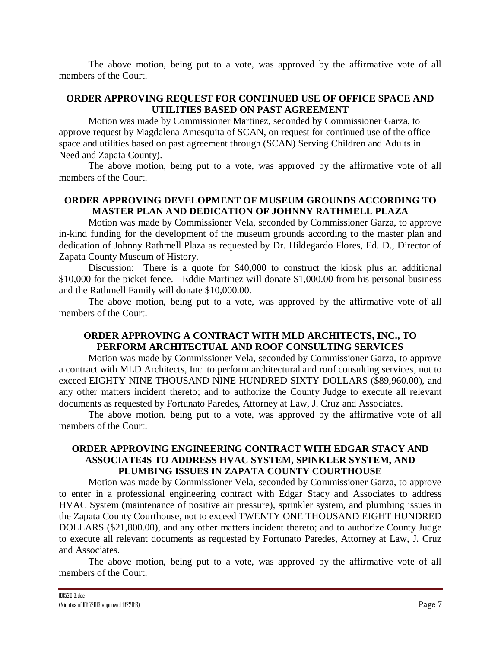The above motion, being put to a vote, was approved by the affirmative vote of all members of the Court.

# **ORDER APPROVING REQUEST FOR CONTINUED USE OF OFFICE SPACE AND UTILITIES BASED ON PAST AGREEMENT**

Motion was made by Commissioner Martinez, seconded by Commissioner Garza, to approve request by Magdalena Amesquita of SCAN, on request for continued use of the office space and utilities based on past agreement through (SCAN) Serving Children and Adults in Need and Zapata County).

The above motion, being put to a vote, was approved by the affirmative vote of all members of the Court.

# **ORDER APPROVING DEVELOPMENT OF MUSEUM GROUNDS ACCORDING TO MASTER PLAN AND DEDICATION OF JOHNNY RATHMELL PLAZA**

Motion was made by Commissioner Vela, seconded by Commissioner Garza, to approve in-kind funding for the development of the museum grounds according to the master plan and dedication of Johnny Rathmell Plaza as requested by Dr. Hildegardo Flores, Ed. D., Director of Zapata County Museum of History.

Discussion: There is a quote for \$40,000 to construct the kiosk plus an additional \$10,000 for the picket fence. Eddie Martinez will donate \$1,000.00 from his personal business and the Rathmell Family will donate \$10,000.00.

The above motion, being put to a vote, was approved by the affirmative vote of all members of the Court.

# **ORDER APPROVING A CONTRACT WITH MLD ARCHITECTS, INC., TO PERFORM ARCHITECTUAL AND ROOF CONSULTING SERVICES**

Motion was made by Commissioner Vela, seconded by Commissioner Garza, to approve a contract with MLD Architects, Inc. to perform architectural and roof consulting services, not to exceed EIGHTY NINE THOUSAND NINE HUNDRED SIXTY DOLLARS (\$89,960.00), and any other matters incident thereto; and to authorize the County Judge to execute all relevant documents as requested by Fortunato Paredes, Attorney at Law, J. Cruz and Associates.

The above motion, being put to a vote, was approved by the affirmative vote of all members of the Court.

## **ORDER APPROVING ENGINEERING CONTRACT WITH EDGAR STACY AND ASSOCIATE4S TO ADDRESS HVAC SYSTEM, SPINKLER SYSTEM, AND PLUMBING ISSUES IN ZAPATA COUNTY COURTHOUSE**

Motion was made by Commissioner Vela, seconded by Commissioner Garza, to approve to enter in a professional engineering contract with Edgar Stacy and Associates to address HVAC System (maintenance of positive air pressure), sprinkler system, and plumbing issues in the Zapata County Courthouse, not to exceed TWENTY ONE THOUSAND EIGHT HUNDRED DOLLARS (\$21,800.00), and any other matters incident thereto; and to authorize County Judge to execute all relevant documents as requested by Fortunato Paredes, Attorney at Law, J. Cruz and Associates.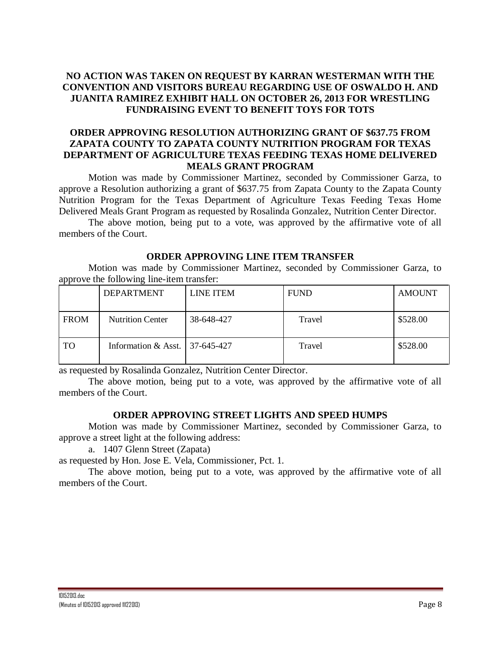# **NO ACTION WAS TAKEN ON REQUEST BY KARRAN WESTERMAN WITH THE CONVENTION AND VISITORS BUREAU REGARDING USE OF OSWALDO H. AND JUANITA RAMIREZ EXHIBIT HALL ON OCTOBER 26, 2013 FOR WRESTLING FUNDRAISING EVENT TO BENEFIT TOYS FOR TOTS**

# **ORDER APPROVING RESOLUTION AUTHORIZING GRANT OF \$637.75 FROM ZAPATA COUNTY TO ZAPATA COUNTY NUTRITION PROGRAM FOR TEXAS DEPARTMENT OF AGRICULTURE TEXAS FEEDING TEXAS HOME DELIVERED MEALS GRANT PROGRAM**

Motion was made by Commissioner Martinez, seconded by Commissioner Garza, to approve a Resolution authorizing a grant of \$637.75 from Zapata County to the Zapata County Nutrition Program for the Texas Department of Agriculture Texas Feeding Texas Home Delivered Meals Grant Program as requested by Rosalinda Gonzalez, Nutrition Center Director.

The above motion, being put to a vote, was approved by the affirmative vote of all members of the Court.

## **ORDER APPROVING LINE ITEM TRANSFER**

Motion was made by Commissioner Martinez, seconded by Commissioner Garza, to approve the following line-item transfer:

|             | <b>DEPARTMENT</b>                  | LINE ITEM  | <b>FUND</b> | <b>AMOUNT</b> |
|-------------|------------------------------------|------------|-------------|---------------|
| <b>FROM</b> | <b>Nutrition Center</b>            | 38-648-427 | Travel      | \$528.00      |
| <b>TO</b>   | Information & Asst.   $37-645-427$ |            | Travel      | \$528.00      |

as requested by Rosalinda Gonzalez, Nutrition Center Director.

The above motion, being put to a vote, was approved by the affirmative vote of all members of the Court.

## **ORDER APPROVING STREET LIGHTS AND SPEED HUMPS**

Motion was made by Commissioner Martinez, seconded by Commissioner Garza, to approve a street light at the following address:

a. 1407 Glenn Street (Zapata)

as requested by Hon. Jose E. Vela, Commissioner, Pct. 1.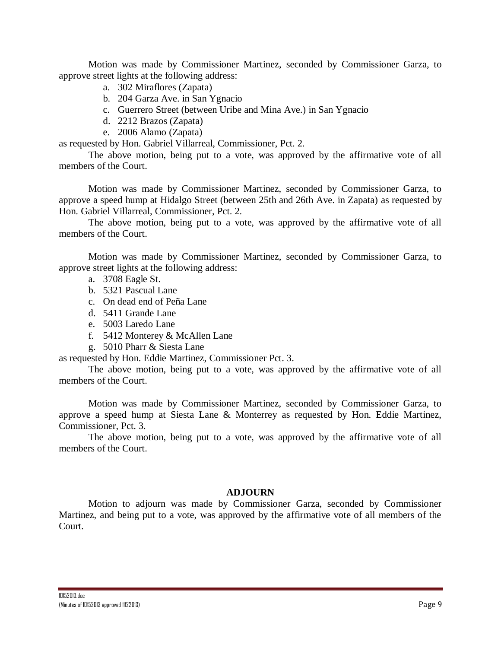Motion was made by Commissioner Martinez, seconded by Commissioner Garza, to approve street lights at the following address:

- a. 302 Miraflores (Zapata)
- b. 204 Garza Ave. in San Ygnacio
- c. Guerrero Street (between Uribe and Mina Ave.) in San Ygnacio
- d. 2212 Brazos (Zapata)
- e. 2006 Alamo (Zapata)

as requested by Hon. Gabriel Villarreal, Commissioner, Pct. 2.

The above motion, being put to a vote, was approved by the affirmative vote of all members of the Court.

Motion was made by Commissioner Martinez, seconded by Commissioner Garza, to approve a speed hump at Hidalgo Street (between 25th and 26th Ave. in Zapata) as requested by Hon. Gabriel Villarreal, Commissioner, Pct. 2.

The above motion, being put to a vote, was approved by the affirmative vote of all members of the Court.

Motion was made by Commissioner Martinez, seconded by Commissioner Garza, to approve street lights at the following address:

- a. 3708 Eagle St.
- b. 5321 Pascual Lane
- c. On dead end of Peña Lane
- d. 5411 Grande Lane
- e. 5003 Laredo Lane
- f. 5412 Monterey & McAllen Lane
- g. 5010 Pharr & Siesta Lane

as requested by Hon. Eddie Martinez, Commissioner Pct. 3.

The above motion, being put to a vote, was approved by the affirmative vote of all members of the Court.

Motion was made by Commissioner Martinez, seconded by Commissioner Garza, to approve a speed hump at Siesta Lane & Monterrey as requested by Hon. Eddie Martinez, Commissioner, Pct. 3.

The above motion, being put to a vote, was approved by the affirmative vote of all members of the Court.

#### **ADJOURN**

Motion to adjourn was made by Commissioner Garza, seconded by Commissioner Martinez, and being put to a vote, was approved by the affirmative vote of all members of the Court.